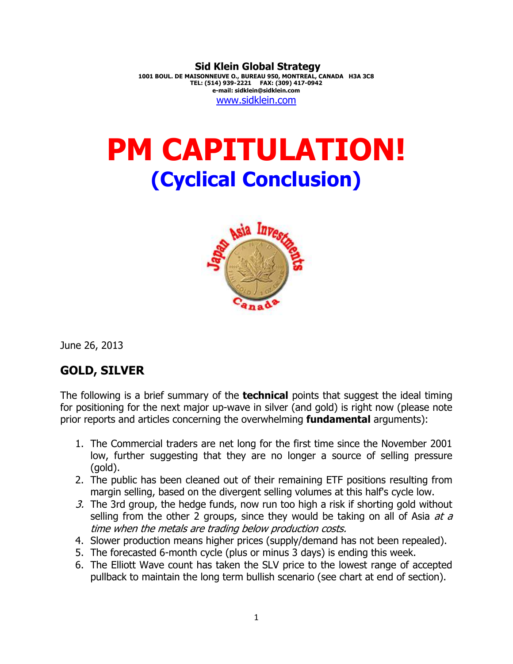**Sid Klein Global Strategy 1001 BOUL. DE MAISONNEUVE O., BUREAU 950, MONTREAL, CANADA H3A 3C8 TEL: (514) 939-2221 FAX: (309) 417-0942 e-mail: sidklein@sidklein.com**  www.sidklein.com

# **PM CAPITULATION! (Cyclical Conclusion)**



June 26, 2013

# **GOLD, SILVER**

The following is a brief summary of the **technical** points that suggest the ideal timing for positioning for the next major up-wave in silver (and gold) is right now (please note prior reports and articles concerning the overwhelming **fundamental** arguments):

- 1. The Commercial traders are net long for the first time since the November 2001 low, further suggesting that they are no longer a source of selling pressure (gold).
- 2. The public has been cleaned out of their remaining ETF positions resulting from margin selling, based on the divergent selling volumes at this half's cycle low.
- 3. The 3rd group, the hedge funds, now run too high a risk if shorting gold without selling from the other 2 groups, since they would be taking on all of Asia  $at a$ time when the metals are trading below production costs.
- 4. Slower production means higher prices (supply/demand has not been repealed).
- 5. The forecasted 6-month cycle (plus or minus 3 days) is ending this week.
- 6. The Elliott Wave count has taken the SLV price to the lowest range of accepted pullback to maintain the long term bullish scenario (see chart at end of section).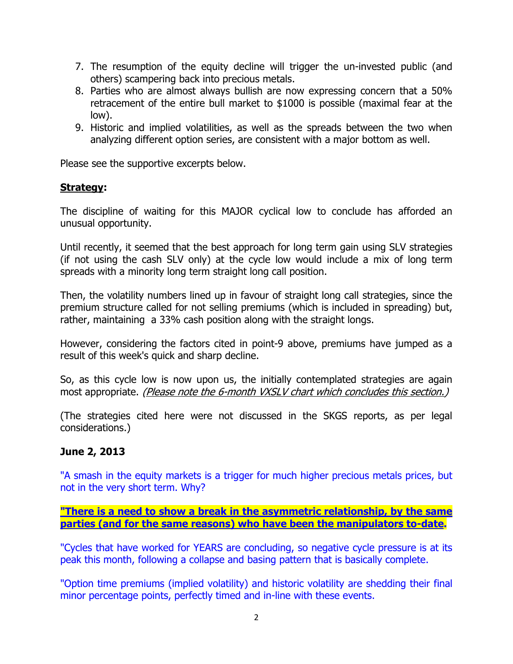- 7. The resumption of the equity decline will trigger the un-invested public (and others) scampering back into precious metals.
- 8. Parties who are almost always bullish are now expressing concern that a 50% retracement of the entire bull market to \$1000 is possible (maximal fear at the low).
- 9. Historic and implied volatilities, as well as the spreads between the two when analyzing different option series, are consistent with a major bottom as well.

Please see the supportive excerpts below.

# **Strategy:**

The discipline of waiting for this MAJOR cyclical low to conclude has afforded an unusual opportunity.

Until recently, it seemed that the best approach for long term gain using SLV strategies (if not using the cash SLV only) at the cycle low would include a mix of long term spreads with a minority long term straight long call position.

Then, the volatility numbers lined up in favour of straight long call strategies, since the premium structure called for not selling premiums (which is included in spreading) but, rather, maintaining a 33% cash position along with the straight longs.

However, considering the factors cited in point-9 above, premiums have jumped as a result of this week's quick and sharp decline.

So, as this cycle low is now upon us, the initially contemplated strategies are again most appropriate. (Please note the 6-month VXSLV chart which concludes this section.)

(The strategies cited here were not discussed in the SKGS reports, as per legal considerations.)

# **June 2, 2013**

"A smash in the equity markets is a trigger for much higher precious metals prices, but not in the very short term. Why?

## **"There is a need to show a break in the asymmetric relationship, by the same parties (and for the same reasons) who have been the manipulators to-date.**

"Cycles that have worked for YEARS are concluding, so negative cycle pressure is at its peak this month, following a collapse and basing pattern that is basically complete.

"Option time premiums (implied volatility) and historic volatility are shedding their final minor percentage points, perfectly timed and in-line with these events.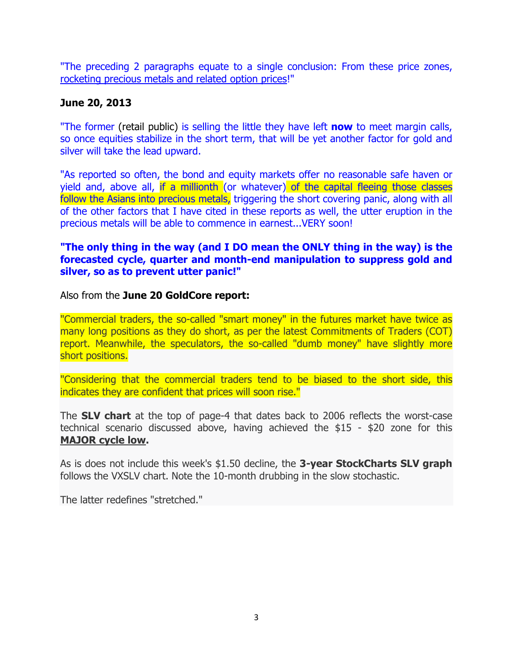"The preceding 2 paragraphs equate to a single conclusion: From these price zones, rocketing precious metals and related option prices!"

# **June 20, 2013**

"The former (retail public) is selling the little they have left **now** to meet margin calls, so once equities stabilize in the short term, that will be yet another factor for gold and silver will take the lead upward.

"As reported so often, the bond and equity markets offer no reasonable safe haven or yield and, above all, if a millionth (or whatever) of the capital fleeing those classes follow the Asians into precious metals, triggering the short covering panic, along with all of the other factors that I have cited in these reports as well, the utter eruption in the precious metals will be able to commence in earnest...VERY soon!

# **"The only thing in the way (and I DO mean the ONLY thing in the way) is the forecasted cycle, quarter and month-end manipulation to suppress gold and silver, so as to prevent utter panic!"**

Also from the **June 20 GoldCore report:** 

"Commercial traders, the so-called "smart money" in the futures market have twice as many long positions as they do short, as per the latest Commitments of Traders (COT) report. Meanwhile, the speculators, the so-called "dumb money" have slightly more short positions.

"Considering that the commercial traders tend to be biased to the short side, this indicates they are confident that prices will soon rise."

The **SLV chart** at the top of page-4 that dates back to 2006 reflects the worst-case technical scenario discussed above, having achieved the \$15 - \$20 zone for this **MAJOR cycle low.** 

As is does not include this week's \$1.50 decline, the **3-year StockCharts SLV graph**  follows the VXSLV chart. Note the 10-month drubbing in the slow stochastic.

The latter redefines "stretched."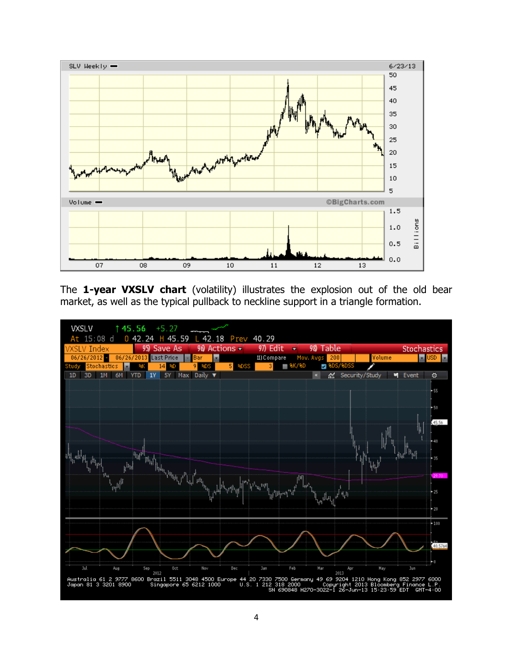

The **1-year VXSLV chart** (volatility) illustrates the explosion out of the old bear market, as well as the typical pullback to neckline support in a triangle formation.

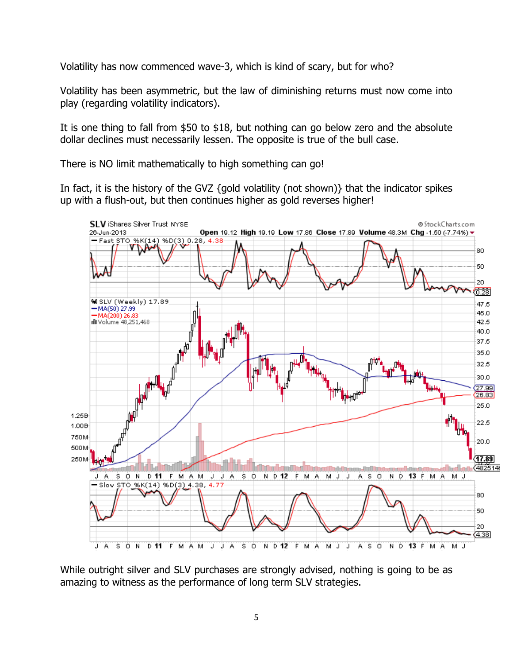Volatility has now commenced wave-3, which is kind of scary, but for who?

Volatility has been asymmetric, but the law of diminishing returns must now come into play (regarding volatility indicators).

It is one thing to fall from \$50 to \$18, but nothing can go below zero and the absolute dollar declines must necessarily lessen. The opposite is true of the bull case.

There is NO limit mathematically to high something can go!

In fact, it is the history of the GVZ {gold volatility (not shown)} that the indicator spikes up with a flush-out, but then continues higher as gold reverses higher!



While outright silver and SLV purchases are strongly advised, nothing is going to be as amazing to witness as the performance of long term SLV strategies.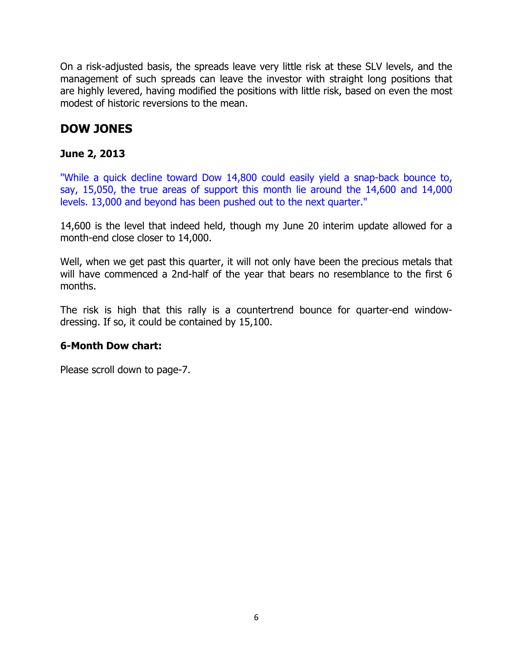On a risk-adjusted basis, the spreads leave very little risk at these SLV levels, and the management of such spreads can leave the investor with straight long positions that are highly levered, having modified the positions with little risk, based on even the most modest of historic reversions to the mean.

# **DOW JONES**

# **June 2, 2013**

"While a quick decline toward Dow 14,800 could easily yield a snap-back bounce to, say, 15,050, the true areas of support this month lie around the 14,600 and 14,000 levels. 13,000 and beyond has been pushed out to the next quarter."

14,600 is the level that indeed held, though my June 20 interim update allowed for a month-end close closer to 14,000.

Well, when we get past this quarter, it will not only have been the precious metals that will have commenced a 2nd-half of the year that bears no resemblance to the first 6 months.

The risk is high that this rally is a countertrend bounce for quarter-end windowdressing. If so, it could be contained by 15,100.

# **6-Month Dow chart:**

Please scroll down to page-7.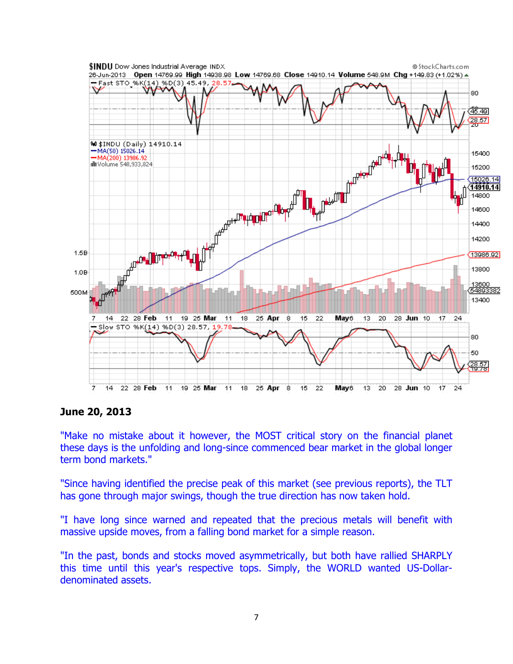

### **June 20, 2013**

"Make no mistake about it however, the MOST critical story on the financial planet these days is the unfolding and long-since commenced bear market in the global longer term bond markets."

"Since having identified the precise peak of this market (see previous reports), the TLT has gone through major swings, though the true direction has now taken hold.

"I have long since warned and repeated that the precious metals will benefit with massive upside moves, from a falling bond market for a simple reason.

"In the past, bonds and stocks moved asymmetrically, but both have rallied SHARPLY this time until this year's respective tops. Simply, the WORLD wanted US-Dollardenominated assets.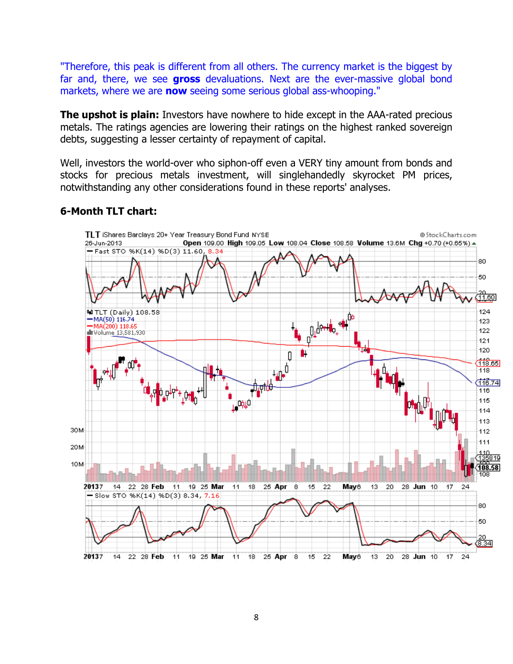"Therefore, this peak is different from all others. The currency market is the biggest by far and, there, we see **gross** devaluations. Next are the ever-massive global bond markets, where we are **now** seeing some serious global ass-whooping."

**The upshot is plain:** Investors have nowhere to hide except in the AAA-rated precious metals. The ratings agencies are lowering their ratings on the highest ranked sovereign debts, suggesting a lesser certainty of repayment of capital.

Well, investors the world-over who siphon-off even a VERY tiny amount from bonds and stocks for precious metals investment, will singlehandedly skyrocket PM prices, notwithstanding any other considerations found in these reports' analyses.

#### TLT iShares Barclays 20+ Year Treasury Bond Fund NYSE @StockCharts.com 26-Jun-2013 Open 109.00 High 109.05 Low 108.04 Close 108.58 Volume 13.6M Chg +0.70 (+0.65%)  $\triangle$ Fast STO %K(14) %D(3) 11.60, 8.34 80 50 <del>29.</del><br>11.601 **Pullet Head W** TLT (Daily) 108.58 124  $-MA(50)$  116.74. 123 MA(200) 118.65<br>Illi Volume 13,581,930 122  $121$ 120 Ù.  $\overline{\mathfrak{g}}$ u<br>Canta<br>Cantara 118.65 وألكي 118  $116.74$ <mark>0.0<sup>.44</sup>+.01</mark> 116 ।<br>⊥™#" 115 114 113 30M 112 111 20M **10M** 20137 14 22 28 Feb  $11$ 19 25 Mar  $11$  $18<sup>18</sup>$ 25 Apr 8  $15$ 22 **May**<sub>6</sub> 13. 20 28 Jun 10  $17^{1}$  $24$ Slow STO %K(14) %D(3) 8.34, 7.16 len. 50 20<br>ब्रैडिया 20137  $14$ 22 28 Feb  $11$ 19 25 Mar  $11$ 18 25 Apr 8 22 May6 13 20 28 Jun 10 17  $24$ 15

# **6-Month TLT chart:**